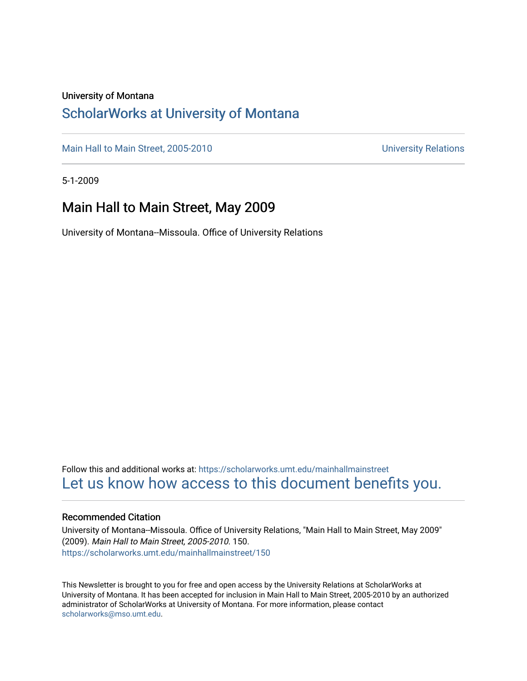### University of Montana

### [ScholarWorks at University of Montana](https://scholarworks.umt.edu/)

[Main Hall to Main Street, 2005-2010](https://scholarworks.umt.edu/mainhallmainstreet) Main Hall to Main Street, 2005-2010

5-1-2009

### Main Hall to Main Street, May 2009

University of Montana--Missoula. Office of University Relations

Follow this and additional works at: [https://scholarworks.umt.edu/mainhallmainstreet](https://scholarworks.umt.edu/mainhallmainstreet?utm_source=scholarworks.umt.edu%2Fmainhallmainstreet%2F150&utm_medium=PDF&utm_campaign=PDFCoverPages) [Let us know how access to this document benefits you.](https://goo.gl/forms/s2rGfXOLzz71qgsB2) 

#### Recommended Citation

University of Montana--Missoula. Office of University Relations, "Main Hall to Main Street, May 2009" (2009). Main Hall to Main Street, 2005-2010. 150. [https://scholarworks.umt.edu/mainhallmainstreet/150](https://scholarworks.umt.edu/mainhallmainstreet/150?utm_source=scholarworks.umt.edu%2Fmainhallmainstreet%2F150&utm_medium=PDF&utm_campaign=PDFCoverPages)

This Newsletter is brought to you for free and open access by the University Relations at ScholarWorks at University of Montana. It has been accepted for inclusion in Main Hall to Main Street, 2005-2010 by an authorized administrator of ScholarWorks at University of Montana. For more information, please contact [scholarworks@mso.umt.edu.](mailto:scholarworks@mso.umt.edu)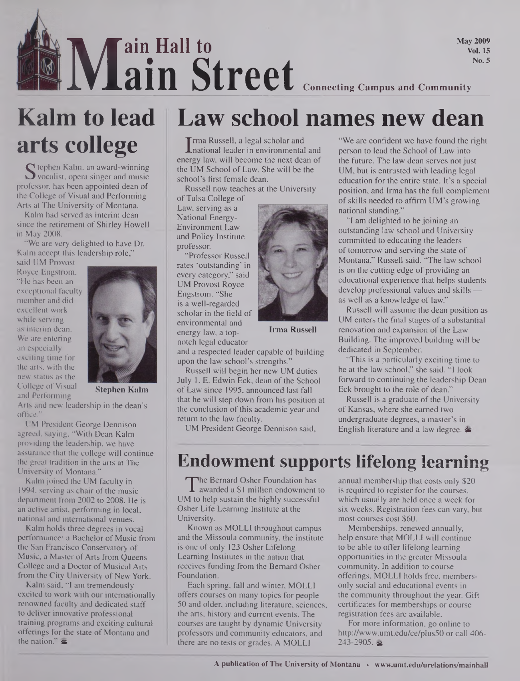# **No.5**<br>**19 ISLEN** Connecting Campus and Community<br>**19 ISLENA Connecting Campus and Community ain Hall to ain Street Connecting Campus and Community**

**May 2009 Vol. 15**

# **arts college**

S tephen Kalm, an award-winning<br>S vocalist, opera singer and music<br>ofessor, has been appointed dean of vocalist, opera singer and music professor, has been appointed dean of the College of Visual and Performing Arts at The University of Montana.

Kalm had served as interim dean since the retirement of Shirley Howell in May 2008.

"We are very delighted to have Dr. Kalm accept this leadership role,"

said UM Provost Royce Engstrom. "He has been an exceptional faculty member and did excellent work while serving as interim dean. We are entering an especially exciting time for the arts, with the new status as the College of Visual and Performing



**Stephen Kalm**

Arts and new leadership in the dean's office."

UM President George Dennison agreed, saying, "With Dean Kalm providing the leadership, we have assurance that the college will continue the great tradition in the arts at The University of Montana."

Kalm joined the UM faculty in 1994, serving as chair of the music department from 2002 to 2008. He is an active artist, performing in local, national and international venues.

Kalm holds three degrees in vocal performance: a Bachelor of Music from the San Francisco Conservatory of Music, a Master of Arts from Queens College and a Doctor of Musical Arts from the City University of New York.

Kalm said, "I am tremendously excited to work with our internationally renowned faculty and dedicated staff to deliver innovative professional training programs and exciting cultural offerings for the state of Montana and the nation." $\approx$ 

## **Kalm to lead Law school names new dean**

I rma Russell, a legal scholar and<br>Inational leader in environmental and<br>ergy law, will become the next dean of **Trma Russell, a legal scholar and** energy law, will become the next dean of the UM School of Law. She will be the school's first female dean.

Russell now teaches at the University

ofTulsa College of Law, serving as a National Energy-Environment Law and Policy Institute professor.

"Professor Russell rates 'outstanding' in every category," said UM Provost Royce Engstrom. "She is a well-regarded scholar in the field of environmental and energy law, a topnotch legal educator



**Irma Russell**

Russell will begin her new UM duties July 1. E. Edwin Eck, dean of the School of Law since 1995, announced last fall that he will step down from his position at the conclusion of this academic year and return to the law faculty.

UM President George Dennison said,



"I am delighted to be joining an outstanding law school and University committed to educating the leaders of tomorrow and serving the state of Montana," Russell said. "The law school is on the cutting edge of providing an educational experience that helps students develop professional values and skills as well as a knowledge of law."

Russell will assume the dean position as UM enters the final stages of a substantial renovation and expansion of the Law Building. The improved building will be dedicated in September.

"This is a particularly exciting time to be at the law school," she said. "I look forward to continuing the leadership Dean Eck brought to the role of dean."

Russell is a graduate of the University of Kansas, where she earned two undergraduate degrees, a master's in English literature and a law degree.  $\triangle$ 

### Endowment supports lifelong learning

The Bernard Osher Foundation has<br>a awarded a \$1 million endowment to <br>M to help sustain the highly successful v The Bernard Osher Foundation has **L** awarded a \$1 million endowment to Osher Life Learning Institute at the University.

Known as MOLLI throughout campus and the Missoula community, the institute is one of only 123 Osher Lifelong Learning Institutes in the nation that receives funding from the Bernard Osher Foundation.

Each spring, fall and winter, MOLLI offers courses on many topics for people 50 and older, including literature, sciences, the arts, history and current events. The courses are taught by dynamic University professors and community educators, and there are no tests or grades. A MOLLI

annual membership that costs only \$20 is required to register for the courses, which usually are held once a week for six weeks. Registration fees can vary, but most courses cost \$60.

Memberships, renewed annually, help ensure that MOLLI will continue to be able to offer lifelong learning opportunities in the greater Missoula community. In addition to course offerings, MOLLI holds free, membersonly social and educational events in the community throughout the year. Gift certificates for memberships or course registration fees are available.

For more information, go online to <http://www.umt.edu/ce/plus50> or call 406-  $243 - 2905$ .